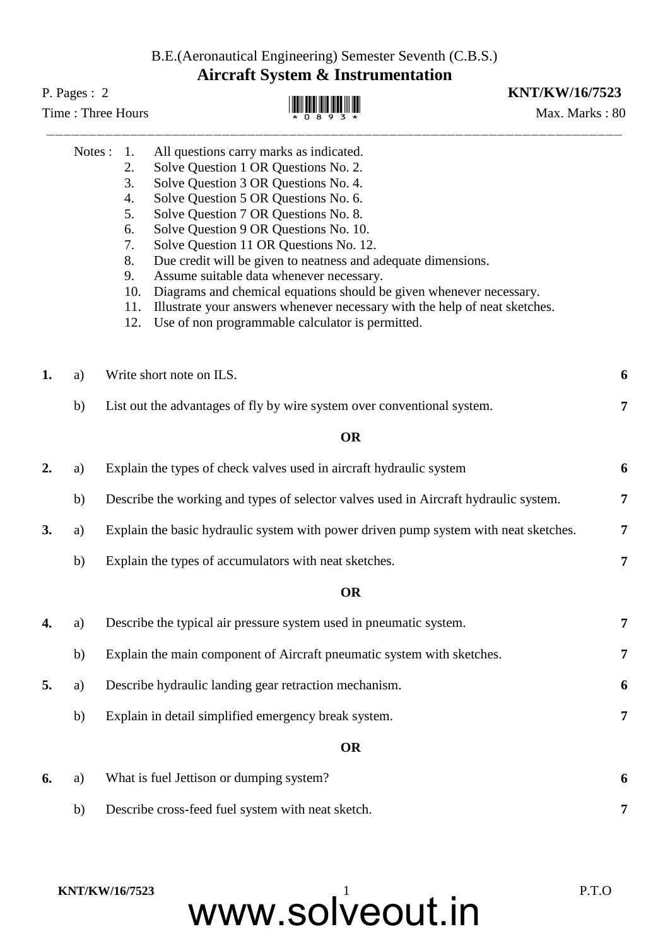B.E.(Aeronautical Engineering) Semester Seventh (C.B.S.) **Aircraft System & Instrumentation**

## Time : Three Hours  $\mathbb{H}$   $\mathbb{H}$   $\mathbb{H}$   $\mathbb{H}$   $\mathbb{H}$   $\mathbb{H}$   $\mathbb{H}$   $\mathbb{H}$   $\mathbb{H}$   $\mathbb{H}$   $\mathbb{H}$   $\mathbb{H}$   $\mathbb{H}$   $\mathbb{H}$   $\mathbb{H}$   $\mathbb{H}$   $\mathbb{H}$   $\mathbb{H}$   $\mathbb{H}$   $\mathbb{H}$   $\mathbb{H}$   $\mathbb{H}$   $\mathbb$

## **WEBS**

## P. Pages : 2 **KNT/KW/16/7523**

|    | Notes :                        | 1.                                                                                        |                                                                                      |   |  |
|----|--------------------------------|-------------------------------------------------------------------------------------------|--------------------------------------------------------------------------------------|---|--|
|    |                                |                                                                                           | All questions carry marks as indicated.                                              |   |  |
|    |                                | 2.<br>3.                                                                                  | Solve Question 1 OR Questions No. 2.<br>Solve Question 3 OR Questions No. 4.         |   |  |
|    |                                | 4.                                                                                        | Solve Question 5 OR Questions No. 6.                                                 |   |  |
|    |                                | 5.                                                                                        | Solve Question 7 OR Questions No. 8.                                                 |   |  |
|    |                                | 6.                                                                                        | Solve Question 9 OR Questions No. 10.                                                |   |  |
|    |                                | 7.                                                                                        | Solve Question 11 OR Questions No. 12.                                               |   |  |
|    |                                | 8.                                                                                        | Due credit will be given to neatness and adequate dimensions.                        |   |  |
|    |                                | 9.                                                                                        | Assume suitable data whenever necessary.                                             |   |  |
|    |                                | 10.                                                                                       | Diagrams and chemical equations should be given whenever necessary.                  |   |  |
|    |                                | 11.                                                                                       | Illustrate your answers whenever necessary with the help of neat sketches.           |   |  |
|    |                                | 12.                                                                                       | Use of non programmable calculator is permitted.                                     |   |  |
| 1. | Write short note on ILS.<br>a) |                                                                                           |                                                                                      |   |  |
|    | b)                             |                                                                                           | List out the advantages of fly by wire system over conventional system.              | 7 |  |
|    |                                |                                                                                           | <b>OR</b>                                                                            |   |  |
| 2. | a)                             |                                                                                           | Explain the types of check valves used in aircraft hydraulic system                  | 6 |  |
|    | b)                             |                                                                                           | Describe the working and types of selector valves used in Aircraft hydraulic system. | 7 |  |
| 3. | a)                             | Explain the basic hydraulic system with power driven pump system with neat sketches.<br>7 |                                                                                      |   |  |
|    | b)                             |                                                                                           | Explain the types of accumulators with neat sketches.                                | 7 |  |
|    |                                |                                                                                           | <b>OR</b>                                                                            |   |  |
| 4. | a)                             | Describe the typical air pressure system used in pneumatic system.                        |                                                                                      |   |  |
|    | b)                             | Explain the main component of Aircraft pneumatic system with sketches.                    |                                                                                      |   |  |
| 5. | a)                             | Describe hydraulic landing gear retraction mechanism.                                     |                                                                                      |   |  |
|    | b)                             |                                                                                           | Explain in detail simplified emergency break system.                                 | 7 |  |
|    |                                |                                                                                           | <b>OR</b>                                                                            |   |  |
| 6. | a)                             |                                                                                           | What is fuel Jettison or dumping system?                                             | 6 |  |
|    | b)                             |                                                                                           | Describe cross-feed fuel system with neat sketch.                                    | 7 |  |

www.solveout.in **KNT/KW/16/7523** P.T.O